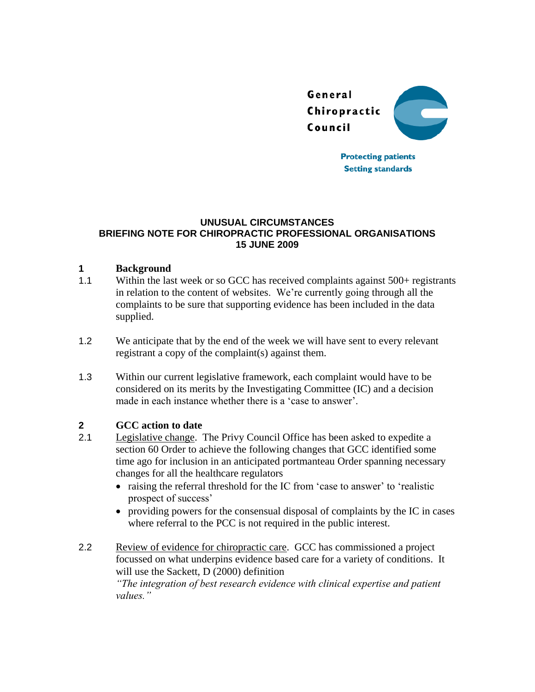

**Protecting patients Setting standards** 

#### **UNUSUAL CIRCUMSTANCES BRIEFING NOTE FOR CHIROPRACTIC PROFESSIONAL ORGANISATIONS 15 JUNE 2009**

### **1 Background**

- 1.1 Within the last week or so GCC has received complaints against 500+ registrants in relation to the content of websites. We're currently going through all the complaints to be sure that supporting evidence has been included in the data supplied.
- 1.2 We anticipate that by the end of the week we will have sent to every relevant registrant a copy of the complaint(s) against them.
- 1.3 Within our current legislative framework, each complaint would have to be considered on its merits by the Investigating Committee (IC) and a decision made in each instance whether there is a 'case to answer'.

## **2 GCC action to date**

- 2.1 Legislative change. The Privy Council Office has been asked to expedite a section 60 Order to achieve the following changes that GCC identified some time ago for inclusion in an anticipated portmanteau Order spanning necessary changes for all the healthcare regulators
	- raising the referral threshold for the IC from 'case to answer' to 'realistic prospect of success'
	- providing powers for the consensual disposal of complaints by the IC in cases where referral to the PCC is not required in the public interest.
- 2.2 Review of evidence for chiropractic care. GCC has commissioned a project focussed on what underpins evidence based care for a variety of conditions. It will use the Sackett, D (2000) definition *"The integration of best research evidence with clinical expertise and patient values."*